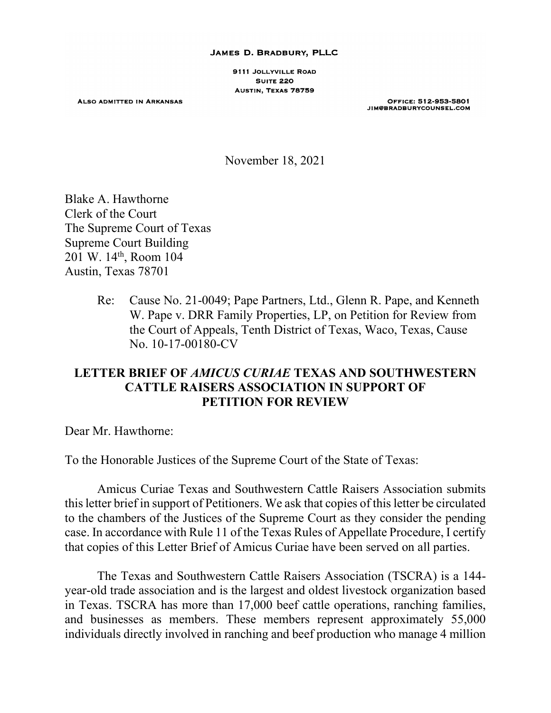#### JAMES D. BRADBURY, PLLC

9111 JOLLYVILLE ROAD **SUITE 220** AUSTIN, TEXAS 78759

**ALSO ADMITTED IN ARKANSAS** 

OFFICE: 512-953-5801 JIM@BRADBURYCOUNSEL.COM

November 18, 2021

Blake A. Hawthorne Clerk of the Court The Supreme Court of Texas Supreme Court Building 201 W. 14th, Room 104 Austin, Texas 78701

> Re: Cause No. 21-0049; Pape Partners, Ltd., Glenn R. Pape, and Kenneth W. Pape v. DRR Family Properties, LP, on Petition for Review from the Court of Appeals, Tenth District of Texas, Waco, Texas, Cause No. 10-17-00180-CV

# **LETTER BRIEF OF** *AMICUS CURIAE* **TEXAS AND SOUTHWESTERN CATTLE RAISERS ASSOCIATION IN SUPPORT OF PETITION FOR REVIEW**

Dear Mr. Hawthorne:

To the Honorable Justices of the Supreme Court of the State of Texas:

Amicus Curiae Texas and Southwestern Cattle Raisers Association submits this letter brief in support of Petitioners. We ask that copies of this letter be circulated to the chambers of the Justices of the Supreme Court as they consider the pending case. In accordance with Rule 11 of the Texas Rules of Appellate Procedure, I certify that copies of this Letter Brief of Amicus Curiae have been served on all parties.

The Texas and Southwestern Cattle Raisers Association (TSCRA) is a 144 year-old trade association and is the largest and oldest livestock organization based in Texas. TSCRA has more than 17,000 beef cattle operations, ranching families, and businesses as members. These members represent approximately 55,000 individuals directly involved in ranching and beef production who manage 4 million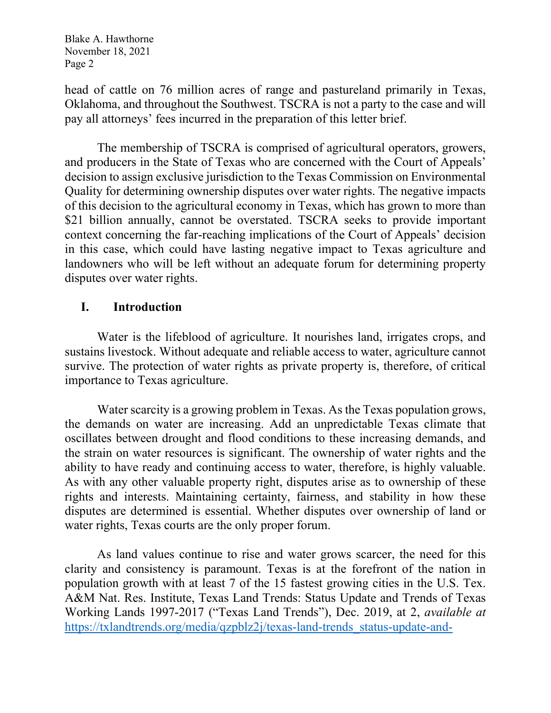head of cattle on 76 million acres of range and pastureland primarily in Texas, Oklahoma, and throughout the Southwest. TSCRA is not a party to the case and will pay all attorneys' fees incurred in the preparation of this letter brief.

The membership of TSCRA is comprised of agricultural operators, growers, and producers in the State of Texas who are concerned with the Court of Appeals' decision to assign exclusive jurisdiction to the Texas Commission on Environmental Quality for determining ownership disputes over water rights. The negative impacts of this decision to the agricultural economy in Texas, which has grown to more than \$21 billion annually, cannot be overstated. TSCRA seeks to provide important context concerning the far-reaching implications of the Court of Appeals' decision in this case, which could have lasting negative impact to Texas agriculture and landowners who will be left without an adequate forum for determining property disputes over water rights.

## **I. Introduction**

Water is the lifeblood of agriculture. It nourishes land, irrigates crops, and sustains livestock. Without adequate and reliable access to water, agriculture cannot survive. The protection of water rights as private property is, therefore, of critical importance to Texas agriculture.

Water scarcity is a growing problem in Texas. As the Texas population grows, the demands on water are increasing. Add an unpredictable Texas climate that oscillates between drought and flood conditions to these increasing demands, and the strain on water resources is significant. The ownership of water rights and the ability to have ready and continuing access to water, therefore, is highly valuable. As with any other valuable property right, disputes arise as to ownership of these rights and interests. Maintaining certainty, fairness, and stability in how these disputes are determined is essential. Whether disputes over ownership of land or water rights, Texas courts are the only proper forum.

As land values continue to rise and water grows scarcer, the need for this clarity and consistency is paramount. Texas is at the forefront of the nation in population growth with at least 7 of the 15 fastest growing cities in the U.S. Tex. A&M Nat. Res. Institute, Texas Land Trends: Status Update and Trends of Texas Working Lands 1997-2017 ("Texas Land Trends"), Dec. 2019, at 2, *available at*  [https://txlandtrends.org/media/qzpblz2j/texas-land-trends\\_status-update-and-](https://txlandtrends.org/media/qzpblz2j/texas-land-trends_status-update-and-trends-of-tx-working-lands.pdf)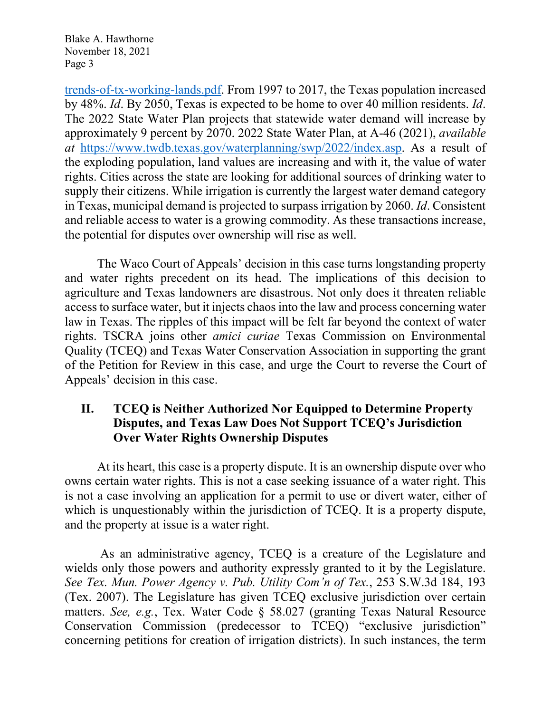[trends-of-tx-working-lands.pdf.](https://txlandtrends.org/media/qzpblz2j/texas-land-trends_status-update-and-trends-of-tx-working-lands.pdf) From 1997 to 2017, the Texas population increased by 48%. *Id*. By 2050, Texas is expected to be home to over 40 million residents. *Id*. The 2022 State Water Plan projects that statewide water demand will increase by approximately 9 percent by 2070. 2022 State Water Plan, at A-46 (2021), *available at* [https://www.twdb.texas.gov/waterplanning/swp/2022/index.asp.](https://www.twdb.texas.gov/waterplanning/swp/2022/index.asp) As a result of the exploding population, land values are increasing and with it, the value of water rights. Cities across the state are looking for additional sources of drinking water to supply their citizens. While irrigation is currently the largest water demand category in Texas, municipal demand is projected to surpass irrigation by 2060. *Id*. Consistent and reliable access to water is a growing commodity. As these transactions increase, the potential for disputes over ownership will rise as well.

The Waco Court of Appeals' decision in this case turns longstanding property and water rights precedent on its head. The implications of this decision to agriculture and Texas landowners are disastrous. Not only does it threaten reliable access to surface water, but it injects chaos into the law and process concerning water law in Texas. The ripples of this impact will be felt far beyond the context of water rights. TSCRA joins other *amici curiae* Texas Commission on Environmental Quality (TCEQ) and Texas Water Conservation Association in supporting the grant of the Petition for Review in this case, and urge the Court to reverse the Court of Appeals' decision in this case.

# **II. TCEQ is Neither Authorized Nor Equipped to Determine Property Disputes, and Texas Law Does Not Support TCEQ's Jurisdiction Over Water Rights Ownership Disputes**

At its heart, this case is a property dispute. It is an ownership dispute over who owns certain water rights. This is not a case seeking issuance of a water right. This is not a case involving an application for a permit to use or divert water, either of which is unquestionably within the jurisdiction of TCEQ. It is a property dispute, and the property at issue is a water right.

As an administrative agency, TCEQ is a creature of the Legislature and wields only those powers and authority expressly granted to it by the Legislature. *See Tex. Mun. Power Agency v. Pub. Utility Com'n of Tex.*, 253 S.W.3d 184, 193 (Tex. 2007). The Legislature has given TCEQ exclusive jurisdiction over certain matters. *See, e.g.*, Tex. Water Code § 58.027 (granting Texas Natural Resource Conservation Commission (predecessor to TCEQ) "exclusive jurisdiction" concerning petitions for creation of irrigation districts). In such instances, the term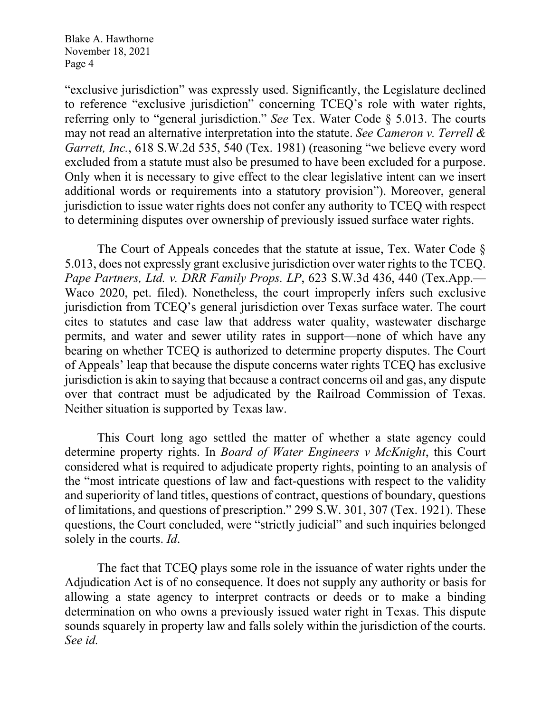"exclusive jurisdiction" was expressly used. Significantly, the Legislature declined to reference "exclusive jurisdiction" concerning TCEQ's role with water rights, referring only to "general jurisdiction." *See* Tex. Water Code § 5.013. The courts may not read an alternative interpretation into the statute. *See Cameron v. Terrell & Garrett, Inc.*, 618 S.W.2d 535, 540 (Tex. 1981) (reasoning "we believe every word excluded from a statute must also be presumed to have been excluded for a purpose. Only when it is necessary to give effect to the clear legislative intent can we insert additional words or requirements into a statutory provision"). Moreover, general jurisdiction to issue water rights does not confer any authority to TCEQ with respect to determining disputes over ownership of previously issued surface water rights.

The Court of Appeals concedes that the statute at issue, Tex. Water Code § 5.013, does not expressly grant exclusive jurisdiction over water rights to the TCEQ. *Pape Partners, Ltd. v. DRR Family Props. LP*, 623 S.W.3d 436, 440 (Tex.App.— Waco 2020, pet. filed). Nonetheless, the court improperly infers such exclusive jurisdiction from TCEQ's general jurisdiction over Texas surface water. The court cites to statutes and case law that address water quality, wastewater discharge permits, and water and sewer utility rates in support—none of which have any bearing on whether TCEQ is authorized to determine property disputes. The Court of Appeals' leap that because the dispute concerns water rights TCEQ has exclusive jurisdiction is akin to saying that because a contract concerns oil and gas, any dispute over that contract must be adjudicated by the Railroad Commission of Texas. Neither situation is supported by Texas law.

This Court long ago settled the matter of whether a state agency could determine property rights. In *Board of Water Engineers v McKnight*, this Court considered what is required to adjudicate property rights, pointing to an analysis of the "most intricate questions of law and fact-questions with respect to the validity and superiority of land titles, questions of contract, questions of boundary, questions of limitations, and questions of prescription." 299 S.W. 301, 307 (Tex. 1921). These questions, the Court concluded, were "strictly judicial" and such inquiries belonged solely in the courts. *Id*.

The fact that TCEQ plays some role in the issuance of water rights under the Adjudication Act is of no consequence. It does not supply any authority or basis for allowing a state agency to interpret contracts or deeds or to make a binding determination on who owns a previously issued water right in Texas. This dispute sounds squarely in property law and falls solely within the jurisdiction of the courts. *See id.*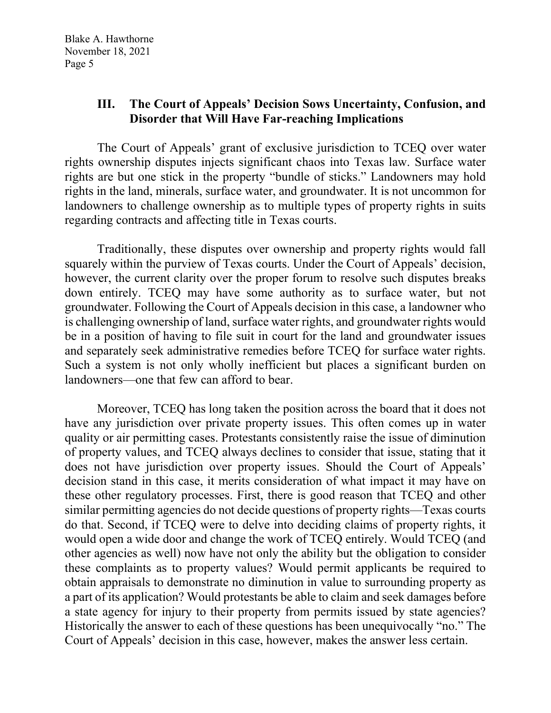# **III. The Court of Appeals' Decision Sows Uncertainty, Confusion, and Disorder that Will Have Far-reaching Implications**

The Court of Appeals' grant of exclusive jurisdiction to TCEQ over water rights ownership disputes injects significant chaos into Texas law. Surface water rights are but one stick in the property "bundle of sticks." Landowners may hold rights in the land, minerals, surface water, and groundwater. It is not uncommon for landowners to challenge ownership as to multiple types of property rights in suits regarding contracts and affecting title in Texas courts.

Traditionally, these disputes over ownership and property rights would fall squarely within the purview of Texas courts. Under the Court of Appeals' decision, however, the current clarity over the proper forum to resolve such disputes breaks down entirely. TCEQ may have some authority as to surface water, but not groundwater. Following the Court of Appeals decision in this case, a landowner who is challenging ownership of land, surface water rights, and groundwater rights would be in a position of having to file suit in court for the land and groundwater issues and separately seek administrative remedies before TCEQ for surface water rights. Such a system is not only wholly inefficient but places a significant burden on landowners—one that few can afford to bear.

Moreover, TCEQ has long taken the position across the board that it does not have any jurisdiction over private property issues. This often comes up in water quality or air permitting cases. Protestants consistently raise the issue of diminution of property values, and TCEQ always declines to consider that issue, stating that it does not have jurisdiction over property issues. Should the Court of Appeals' decision stand in this case, it merits consideration of what impact it may have on these other regulatory processes. First, there is good reason that TCEQ and other similar permitting agencies do not decide questions of property rights—Texas courts do that. Second, if TCEQ were to delve into deciding claims of property rights, it would open a wide door and change the work of TCEQ entirely. Would TCEQ (and other agencies as well) now have not only the ability but the obligation to consider these complaints as to property values? Would permit applicants be required to obtain appraisals to demonstrate no diminution in value to surrounding property as a part of its application? Would protestants be able to claim and seek damages before a state agency for injury to their property from permits issued by state agencies? Historically the answer to each of these questions has been unequivocally "no." The Court of Appeals' decision in this case, however, makes the answer less certain.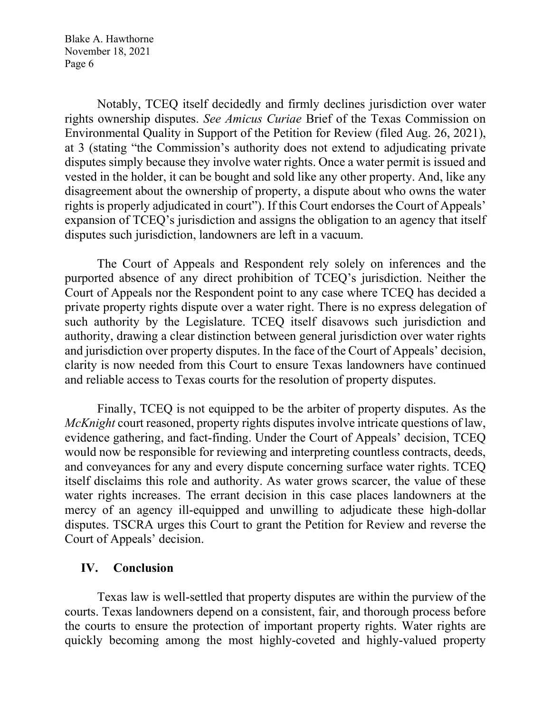Notably, TCEQ itself decidedly and firmly declines jurisdiction over water rights ownership disputes. *See Amicus Curiae* Brief of the Texas Commission on Environmental Quality in Support of the Petition for Review (filed Aug. 26, 2021), at 3 (stating "the Commission's authority does not extend to adjudicating private disputes simply because they involve water rights. Once a water permit is issued and vested in the holder, it can be bought and sold like any other property. And, like any disagreement about the ownership of property, a dispute about who owns the water rights is properly adjudicated in court"). If this Court endorses the Court of Appeals' expansion of TCEQ's jurisdiction and assigns the obligation to an agency that itself disputes such jurisdiction, landowners are left in a vacuum.

The Court of Appeals and Respondent rely solely on inferences and the purported absence of any direct prohibition of TCEQ's jurisdiction. Neither the Court of Appeals nor the Respondent point to any case where TCEQ has decided a private property rights dispute over a water right. There is no express delegation of such authority by the Legislature. TCEQ itself disavows such jurisdiction and authority, drawing a clear distinction between general jurisdiction over water rights and jurisdiction over property disputes. In the face of the Court of Appeals' decision, clarity is now needed from this Court to ensure Texas landowners have continued and reliable access to Texas courts for the resolution of property disputes.

Finally, TCEQ is not equipped to be the arbiter of property disputes. As the *McKnight* court reasoned, property rights disputes involve intricate questions of law, evidence gathering, and fact-finding. Under the Court of Appeals' decision, TCEQ would now be responsible for reviewing and interpreting countless contracts, deeds, and conveyances for any and every dispute concerning surface water rights. TCEQ itself disclaims this role and authority. As water grows scarcer, the value of these water rights increases. The errant decision in this case places landowners at the mercy of an agency ill-equipped and unwilling to adjudicate these high-dollar disputes. TSCRA urges this Court to grant the Petition for Review and reverse the Court of Appeals' decision.

## **IV. Conclusion**

Texas law is well-settled that property disputes are within the purview of the courts. Texas landowners depend on a consistent, fair, and thorough process before the courts to ensure the protection of important property rights. Water rights are quickly becoming among the most highly-coveted and highly-valued property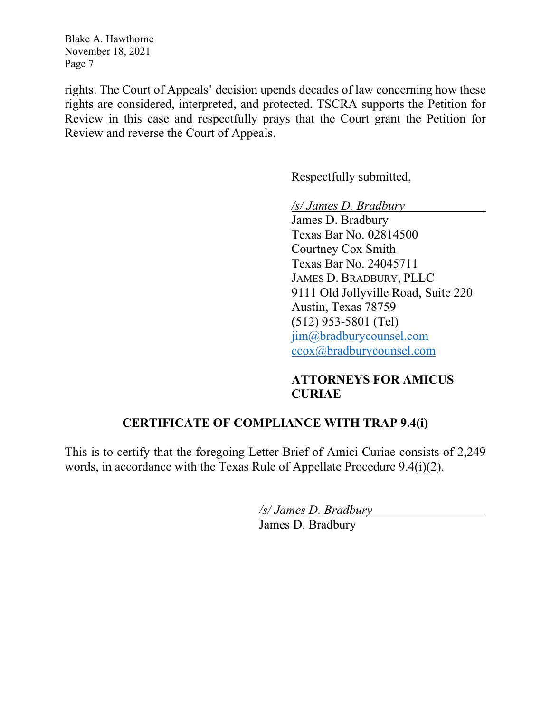rights. The Court of Appeals' decision upends decades of law concerning how these rights are considered, interpreted, and protected. TSCRA supports the Petition for Review in this case and respectfully prays that the Court grant the Petition for Review and reverse the Court of Appeals.

Respectfully submitted,

*/s/ James D. Bradbury*

James D. Bradbury Texas Bar No. 02814500 Courtney Cox Smith Texas Bar No. 24045711 JAMES D. BRADBURY, PLLC 9111 Old Jollyville Road, Suite 220 Austin, Texas 78759 (512) 953-5801 (Tel) [jim@bradburycounsel.com](mailto:jim@bradburycounsel.com) [ccox@bradburycounsel.com](mailto:ccox@bradburycounsel.com)

# **ATTORNEYS FOR AMICUS CURIAE**

# **CERTIFICATE OF COMPLIANCE WITH TRAP 9.4(i)**

This is to certify that the foregoing Letter Brief of Amici Curiae consists of 2,249 words, in accordance with the Texas Rule of Appellate Procedure 9.4(i)(2).

*/s/ James D. Bradbury*

James D. Bradbury